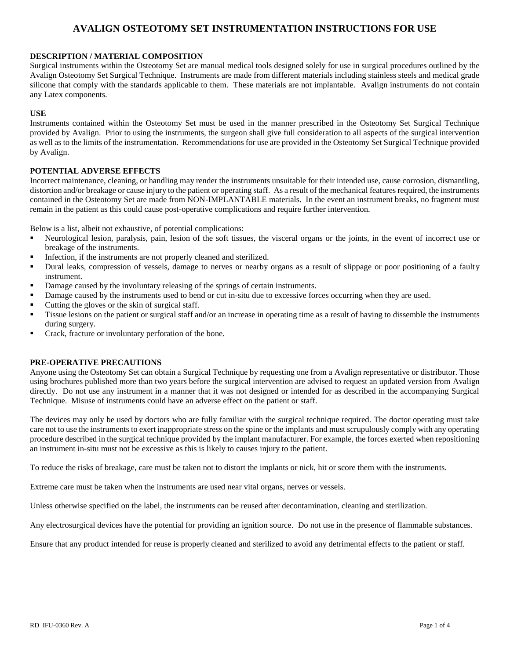#### **DESCRIPTION / MATERIAL COMPOSITION**

Surgical instruments within the Osteotomy Set are manual medical tools designed solely for use in surgical procedures outlined by the Avalign Osteotomy Set Surgical Technique. Instruments are made from different materials including stainless steels and medical grade silicone that comply with the standards applicable to them. These materials are not implantable. Avalign instruments do not contain any Latex components.

#### **USE**

Instruments contained within the Osteotomy Set must be used in the manner prescribed in the Osteotomy Set Surgical Technique provided by Avalign. Prior to using the instruments, the surgeon shall give full consideration to all aspects of the surgical intervention as well as to the limits of the instrumentation. Recommendations for use are provided in the Osteotomy Set Surgical Technique provided by Avalign.

#### **POTENTIAL ADVERSE EFFECTS**

Incorrect maintenance, cleaning, or handling may render the instruments unsuitable for their intended use, cause corrosion, dismantling, distortion and/or breakage or cause injury to the patient or operating staff. As a result of the mechanical features required, the instruments contained in the Osteotomy Set are made from NON-IMPLANTABLE materials. In the event an instrument breaks, no fragment must remain in the patient as this could cause post-operative complications and require further intervention.

Below is a list, albeit not exhaustive, of potential complications:

- Neurological lesion, paralysis, pain, lesion of the soft tissues, the visceral organs or the joints, in the event of incorrect use or breakage of the instruments.
- Infection, if the instruments are not properly cleaned and sterilized.
- **•** Dural leaks, compression of vessels, damage to nerves or nearby organs as a result of slippage or poor positioning of a faulty instrument.
- Damage caused by the involuntary releasing of the springs of certain instruments.
- Damage caused by the instruments used to bend or cut in-situ due to excessive forces occurring when they are used.
- Cutting the gloves or the skin of surgical staff.
- Tissue lesions on the patient or surgical staff and/or an increase in operating time as a result of having to dissemble the instruments during surgery.
- Crack, fracture or involuntary perforation of the bone.

#### **PRE-OPERATIVE PRECAUTIONS**

Anyone using the Osteotomy Set can obtain a Surgical Technique by requesting one from a Avalign representative or distributor. Those using brochures published more than two years before the surgical intervention are advised to request an updated version from Avalign directly. Do not use any instrument in a manner that it was not designed or intended for as described in the accompanying Surgical Technique. Misuse of instruments could have an adverse effect on the patient or staff.

The devices may only be used by doctors who are fully familiar with the surgical technique required. The doctor operating must take care not to use the instruments to exert inappropriate stress on the spine or the implants and must scrupulously comply with any operating procedure described in the surgical technique provided by the implant manufacturer. For example, the forces exerted when repositioning an instrument in-situ must not be excessive as this is likely to causes injury to the patient.

To reduce the risks of breakage, care must be taken not to distort the implants or nick, hit or score them with the instruments.

Extreme care must be taken when the instruments are used near vital organs, nerves or vessels.

Unless otherwise specified on the label, the instruments can be reused after decontamination, cleaning and sterilization.

Any electrosurgical devices have the potential for providing an ignition source. Do not use in the presence of flammable substances.

Ensure that any product intended for reuse is properly cleaned and sterilized to avoid any detrimental effects to the patient or staff.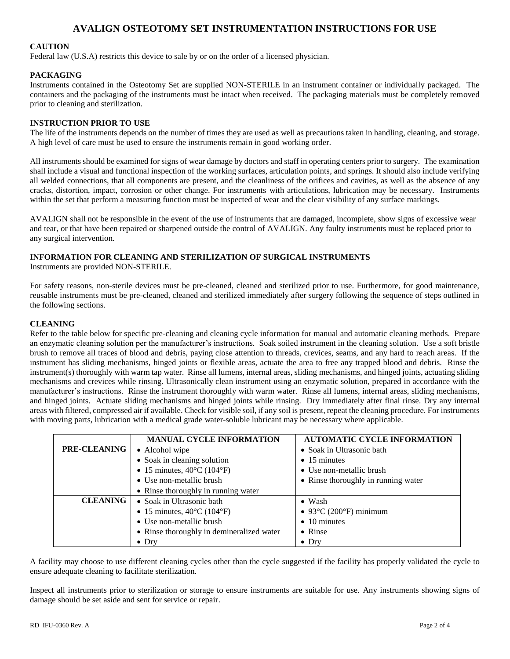#### **CAUTION**

Federal law (U.S.A) restricts this device to sale by or on the order of a licensed physician.

#### **PACKAGING**

Instruments contained in the Osteotomy Set are supplied NON-STERILE in an instrument container or individually packaged. The containers and the packaging of the instruments must be intact when received. The packaging materials must be completely removed prior to cleaning and sterilization.

#### **INSTRUCTION PRIOR TO USE**

The life of the instruments depends on the number of times they are used as well as precautions taken in handling, cleaning, and storage. A high level of care must be used to ensure the instruments remain in good working order.

All instruments should be examined for signs of wear damage by doctors and staff in operating centers prior to surgery. The examination shall include a visual and functional inspection of the working surfaces, articulation points, and springs. It should also include verifying all welded connections, that all components are present, and the cleanliness of the orifices and cavities, as well as the absence of any cracks, distortion, impact, corrosion or other change. For instruments with articulations, lubrication may be necessary. Instruments within the set that perform a measuring function must be inspected of wear and the clear visibility of any surface markings.

AVALIGN shall not be responsible in the event of the use of instruments that are damaged, incomplete, show signs of excessive wear and tear, or that have been repaired or sharpened outside the control of AVALIGN. Any faulty instruments must be replaced prior to any surgical intervention.

# **INFORMATION FOR CLEANING AND STERILIZATION OF SURGICAL INSTRUMENTS**

Instruments are provided NON-STERILE.

For safety reasons, non-sterile devices must be pre-cleaned, cleaned and sterilized prior to use. Furthermore, for good maintenance, reusable instruments must be pre-cleaned, cleaned and sterilized immediately after surgery following the sequence of steps outlined in the following sections.

#### **CLEANING**

Refer to the table below for specific pre-cleaning and cleaning cycle information for manual and automatic cleaning methods. Prepare an enzymatic cleaning solution per the manufacturer's instructions. Soak soiled instrument in the cleaning solution. Use a soft bristle brush to remove all traces of blood and debris, paying close attention to threads, crevices, seams, and any hard to reach areas. If the instrument has sliding mechanisms, hinged joints or flexible areas, actuate the area to free any trapped blood and debris. Rinse the instrument(s) thoroughly with warm tap water. Rinse all lumens, internal areas, sliding mechanisms, and hinged joints, actuating sliding mechanisms and crevices while rinsing. Ultrasonically clean instrument using an enzymatic solution, prepared in accordance with the manufacturer's instructions. Rinse the instrument thoroughly with warm water. Rinse all lumens, internal areas, sliding mechanisms, and hinged joints. Actuate sliding mechanisms and hinged joints while rinsing. Dry immediately after final rinse. Dry any internal areas with filtered, compressed air if available. Check for visible soil, if any soil is present, repeat the cleaning procedure. For instruments with moving parts, lubrication with a medical grade water-soluble lubricant may be necessary where applicable.

|                     | <b>MANUAL CYCLE INFORMATION</b>                 | <b>AUTOMATIC CYCLE INFORMATION</b>  |  |
|---------------------|-------------------------------------------------|-------------------------------------|--|
| <b>PRE-CLEANING</b> | • Alcohol wipe                                  | • Soak in Ultrasonic bath           |  |
|                     | • Soak in cleaning solution                     | $\bullet$ 15 minutes                |  |
|                     | • 15 minutes, $40^{\circ}$ C (104 $^{\circ}$ F) | • Use non-metallic brush            |  |
|                     | • Use non-metallic brush                        | • Rinse thoroughly in running water |  |
|                     | • Rinse thoroughly in running water             |                                     |  |
| <b>CLEANING</b>     | • Soak in Ultrasonic bath                       | $\bullet$ Wash                      |  |
|                     | • 15 minutes, $40^{\circ}$ C (104 $^{\circ}$ F) | $\bullet$ 93°C (200°F) minimum      |  |
|                     | • Use non-metallic brush                        | $\bullet$ 10 minutes                |  |
|                     | • Rinse thoroughly in demineralized water       | $\bullet$ Rinse                     |  |
|                     | $\bullet$ Dry                                   | $\bullet$ Drv                       |  |

A facility may choose to use different cleaning cycles other than the cycle suggested if the facility has properly validated the cycle to ensure adequate cleaning to facilitate sterilization.

Inspect all instruments prior to sterilization or storage to ensure instruments are suitable for use. Any instruments showing signs of damage should be set aside and sent for service or repair.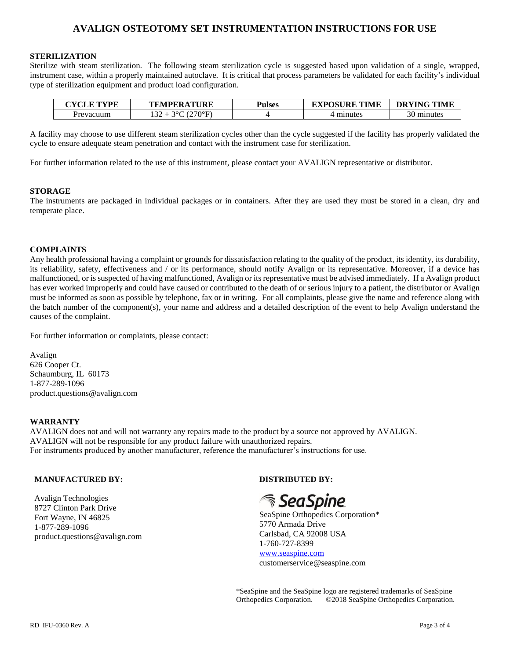#### **STERILIZATION**

Sterilize with steam sterilization. The following steam sterilization cycle is suggested based upon validation of a single, wrapped, instrument case, within a properly maintained autoclave. It is critical that process parameters be validated for each facility's individual type of sterilization equipment and product load configuration.

| $\alpha$ $\alpha$ $\alpha$ $\alpha$<br>$\mu$ Twing | <b><i>NTURE</i></b><br>TЪ.<br>.NI<br>. .<br>.н<br>-44 | 'ulses | <b>TPOSURE TIME</b><br>----- | <b>DRYING TIME</b>           |
|----------------------------------------------------|-------------------------------------------------------|--------|------------------------------|------------------------------|
| ∽re.<br>′ас                                        | ነ∘⊏<br>$\sim$<br>,                                    |        |                              | $\sim$<br>∙ սոnute.<br>. J U |

A facility may choose to use different steam sterilization cycles other than the cycle suggested if the facility has properly validated the cycle to ensure adequate steam penetration and contact with the instrument case for sterilization.

For further information related to the use of this instrument, please contact your AVALIGN representative or distributor.

#### **STORAGE**

The instruments are packaged in individual packages or in containers. After they are used they must be stored in a clean, dry and temperate place.

#### **COMPLAINTS**

Any health professional having a complaint or grounds for dissatisfaction relating to the quality of the product, its identity, its durability, its reliability, safety, effectiveness and / or its performance, should notify Avalign or its representative. Moreover, if a device has malfunctioned, or is suspected of having malfunctioned, Avalign or its representative must be advised immediately. If a Avalign product has ever worked improperly and could have caused or contributed to the death of or serious injury to a patient, the distributor or Avalign must be informed as soon as possible by telephone, fax or in writing. For all complaints, please give the name and reference along with the batch number of the component(s), your name and address and a detailed description of the event to help Avalign understand the causes of the complaint.

For further information or complaints, please contact:

Avalign 626 Cooper Ct. Schaumburg, IL 60173 1-877-289-1096 product.questions@avalign.com

#### **WARRANTY**

AVALIGN does not and will not warranty any repairs made to the product by a source not approved by AVALIGN. AVALIGN will not be responsible for any product failure with unauthorized repairs. For instruments produced by another manufacturer, reference the manufacturer's instructions for use.

#### **MANUFACTURED BY:**

Avalign Technologies 8727 Clinton Park Drive Fort Wayne, IN 46825 1-877-289-1096 product.questions@avalign.com **DISTRIBUTED BY:**

# *SeaSpine*

SeaSpine Orthopedics Corporation\* 5770 Armada Drive Carlsbad, CA 92008 USA 1-760-727-8399 [www.seaspine.com](http://www.seaspine.com/) customerservice@seaspine.com

\*SeaSpine and the SeaSpine logo are registered trademarks of SeaSpine Orthopedics Corporation. ©2018 SeaSpine Orthopedics Corporation.